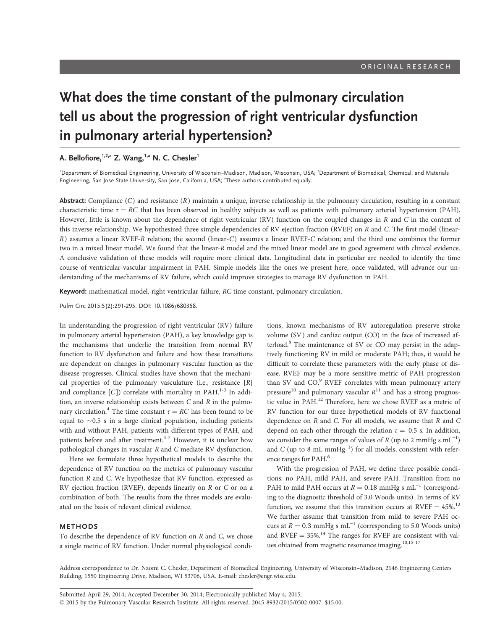# What does the time constant of the pulmonary circulation tell us about the progression of right ventricular dysfunction in pulmonary arterial hypertension?

# A. Bellofiore,  $1,2,3$  Z. Wang,  $1,3$  N. C. Chesler<sup>1</sup>

<sup>1</sup>Department of Biomedical Engineering, University of Wisconsin–Madison, Madison, Wisconsin, USA; <sup>2</sup>Department of Biomedical, Chemical, and Materials Engineering, San Jose State University, San Jose, California, USA; <sup>a</sup>These authors contributed equally.

Abstract: Compliance  $(C)$  and resistance  $(R)$  maintain a unique, inverse relationship in the pulmonary circulation, resulting in a constant characteristic time  $\tau = RC$  that has been observed in healthy subjects as well as patients with pulmonary arterial hypertension (PAH). However, little is known about the dependence of right ventricular (RV) function on the coupled changes in R and C in the context of this inverse relationship. We hypothesized three simple dependencies of RV ejection fraction (RVEF) on R and C. The first model (linear-R) assumes a linear RVEF-R relation; the second (linear-C) assumes a linear RVEF-C relation; and the third one combines the former two in a mixed linear model. We found that the linear-R model and the mixed linear model are in good agreement with clinical evidence. A conclusive validation of these models will require more clinical data. Longitudinal data in particular are needed to identify the time course of ventricular-vascular impairment in PAH. Simple models like the ones we present here, once validated, will advance our understanding of the mechanisms of RV failure, which could improve strategies to manage RV dysfunction in PAH.

Keyword: mathematical model, right ventricular failure, RC time constant, pulmonary circulation.

Pulm Circ 2015;5(2):291-295. DOI: 10.1086/680358.

In understanding the progression of right ventricular (RV) failure in pulmonary arterial hypertension (PAH), a key knowledge gap is the mechanisms that underlie the transition from normal RV function to RV dysfunction and failure and how these transitions are dependent on changes in pulmonary vascular function as the disease progresses. Clinical studies have shown that the mechanical properties of the pulmonary vasculature (i.e., resistance  $[R]$ and compliance  $[C]$ ) correlate with mortality in PAH.<sup>1-3</sup> In addition, an inverse relationship exists between C and R in the pulmonary circulation.<sup>4</sup> The time constant  $\tau = RC$  has been found to be equal to ∼0.5 s in a large clinical population, including patients with and without PAH, patients with different types of PAH, and patients before and after treatment.<sup>4-7</sup> However, it is unclear how pathological changes in vascular R and C mediate RV dysfunction.

Here we formulate three hypothetical models to describe the dependence of RV function on the metrics of pulmonary vascular function R and C. We hypothesize that RV function, expressed as RV ejection fraction (RVEF), depends linearly on R or C or on a combination of both. The results from the three models are evaluated on the basis of relevant clinical evidence.

#### METHODS

To describe the dependence of RV function on R and C, we chose a single metric of RV function. Under normal physiological conditions, known mechanisms of RV autoregulation preserve stroke volume (SV ) and cardiac output (CO) in the face of increased afterload.8 The maintenance of SV or CO may persist in the adaptively functioning RV in mild or moderate PAH; thus, it would be difficult to correlate these parameters with the early phase of disease. RVEF may be a more sensitive metric of PAH progression than SV and CO.<sup>9</sup> RVEF correlates with mean pulmonary artery pressure<sup>10</sup> and pulmonary vascular  $R^{11}$  and has a strong prognostic value in PAH.<sup>12</sup> Therefore, here we chose RVEF as a metric of RV function for our three hypothetical models of RV functional dependence on R and C. For all models, we assume that R and C depend on each other through the relation  $\tau = 0.5$  s. In addition, we consider the same ranges of values of R (up to 2 mmHg s  $mL^{-1}$ ) and C (up to 8 mL mmHg<sup>-1</sup>) for all models, consistent with reference ranges for PAH.<sup>6</sup>

With the progression of PAH, we define three possible conditions: no PAH, mild PAH, and severe PAH. Transition from no PAH to mild PAH occurs at  $R = 0.18$  mmHg s mL<sup>-1</sup> (corresponding to the diagnostic threshold of 3.0 Woods units). In terms of RV function, we assume that this transition occurs at  $RVEF = 45\%$ .<sup>13</sup> We further assume that transition from mild to severe PAH occurs at  $R = 0.3$  mmHg s mL<sup>-1</sup> (corresponding to 5.0 Woods units) and RVEF  $= 35\%$ .<sup>14</sup> The ranges for RVEF are consistent with values obtained from magnetic resonance imaging.<sup>10,15-17</sup>

Address correspondence to Dr. Naomi C. Chesler, Department of Biomedical Engineering, University of Wisconsin–Madison, 2146 Engineering Centers Building, 1550 Engineering Drive, Madison, WI 53706, USA. E-mail: chesler@engr.wisc.edu.

Submitted April 29, 2014; Accepted December 30, 2014; Electronically published May 4, 2015.

© 2015 by the Pulmonary Vascular Research Institute. All rights reserved. 2045-8932/2015/0502-0007. \$15.00.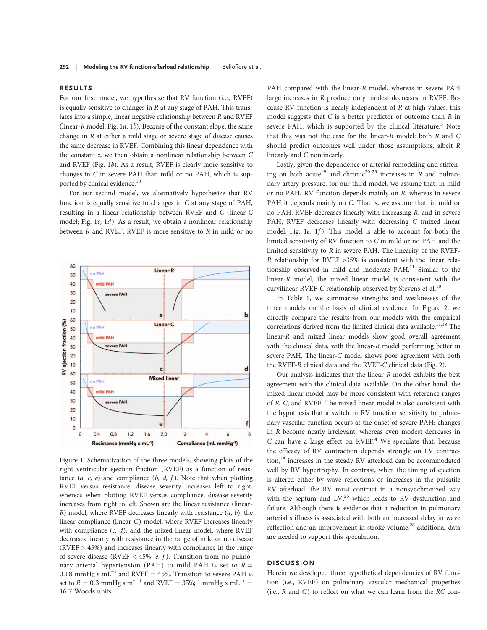## RESULTS

For our first model, we hypothesize that RV function (i.e., RVEF) is equally sensitive to changes in  $R$  at any stage of PAH. This translates into a simple, linear negative relationship between R and RVEF (linear-R model; Fig. 1a, 1b). Because of the constant slope, the same change in R at either a mild stage or severe stage of disease causes the same decrease in RVEF. Combining this linear dependence with the constant  $τ$ , we then obtain a nonlinear relationship between  $C$ and RVEF (Fig. 1b). As a result, RVEF is clearly more sensitive to changes in C in severe PAH than mild or no PAH, which is supported by clinical evidence.<sup>18</sup>

For our second model, we alternatively hypothesize that RV function is equally sensitive to changes in C at any stage of PAH, resulting in a linear relationship between RVEF and C (linear-C model; Fig. 1c, 1d). As a result, we obtain a nonlinear relationship between R and RVEF: RVEF is more sensitive to R in mild or no



Figure 1. Schematization of the three models, showing plots of the right ventricular ejection fraction (RVEF) as a function of resistance  $(a, c, e)$  and compliance  $(b, d, f)$ . Note that when plotting RVEF versus resistance, disease severity increases left to right, whereas when plotting RVEF versus compliance, disease severity increases from right to left. Shown are the linear resistance (linear- $R$ ) model, where RVEF decreases linearly with resistance  $(a, b)$ ; the linear compliance (linear-C) model, where RVEF increases linearly with compliance  $(c, d)$ ; and the mixed linear model, where RVEF decreases linearly with resistance in the range of mild or no disease (RVEF > 45%) and increases linearly with compliance in the range of severe disease (RVEF < 45%;  $e$ ,  $f$ ). Transition from no pulmonary arterial hypertension (PAH) to mild PAH is set to  $R =$ 0.18 mmHg s  $mL^{-1}$  and RVEF = 45%. Transition to severe PAH is set to  $R = 0.3$  mmHg s mL<sup>-1</sup> and RVEF = 35%; 1 mmHg s mL<sup>-1</sup> = 16:7 Woods units.

PAH compared with the linear-R model, whereas in severe PAH large increases in R produce only modest decreases in RVEF. Because RV function is nearly independent of  $R$  at high values, this model suggests that C is a better predictor of outcome than R in severe PAH, which is supported by the clinical literature.<sup>3</sup> Note that this was not the case for the linear-R model: both R and C should predict outcomes well under those assumptions, albeit R linearly and C nonlinearly.

Lastly, given the dependence of arterial remodeling and stiffening on both acute<sup>19</sup> and chronic<sup>20-23</sup> increases in R and pulmonary artery pressure, for our third model, we assume that, in mild or no PAH, RV function depends mainly on R, whereas in severe PAH it depends mainly on C. That is, we assume that, in mild or no PAH, RVEF decreases linearly with increasing R, and in severe PAH, RVEF decreases linearly with decreasing C (mixed linear model; Fig. 1 $e$ , 1 $f$ ). This model is able to account for both the limited sensitivity of RV function to C in mild or no PAH and the limited sensitivity to R in severe PAH. The linearity of the RVEF-R relationship for RVEF >35% is consistent with the linear relationship observed in mild and moderate PAH.<sup>11</sup> Similar to the linear-R model, the mixed linear model is consistent with the curvilinear RVEF-C relationship observed by Stevens et al.<sup>18</sup>

In Table 1, we summarize strengths and weaknesses of the three models on the basis of clinical evidence. In Figure 2, we directly compare the results from our models with the empirical correlations derived from the limited clinical data available.<sup>11,18</sup> The linear-R and mixed linear models show good overall agreement with the clinical data, with the linear-R model performing better in severe PAH. The linear-C model shows poor agreement with both the RVEF-R clinical data and the RVEF-C clinical data (Fig. 2).

Our analysis indicates that the linear-R model exhibits the best agreement with the clinical data available. On the other hand, the mixed linear model may be more consistent with reference ranges of R, C, and RVEF. The mixed linear model is also consistent with the hypothesis that a switch in RV function sensitivity to pulmonary vascular function occurs at the onset of severe PAH: changes in R become nearly irrelevant, whereas even modest decreases in  $C$  can have a large effect on RVEF.<sup>4</sup> We speculate that, because the efficacy of RV contraction depends strongly on LV contraction,<sup>24</sup> increases in the steady RV afterload can be accommodated well by RV hypertrophy. In contrast, when the timing of ejection is altered either by wave reflections or increases in the pulsatile RV afterload, the RV must contract in a nonsynchronized way with the septum and  $LV^{25}$ , which leads to RV dysfunction and failure. Although there is evidence that a reduction in pulmonary arterial stiffness is associated with both an increased delay in wave reflection and an improvement in stroke volume, $^{26}$  additional data are needed to support this speculation.

## **DISCUSSION**

Herein we developed three hypothetical dependencies of RV function (i.e., RVEF) on pulmonary vascular mechanical properties (i.e.,  $R$  and  $C$ ) to reflect on what we can learn from the  $RC$  con-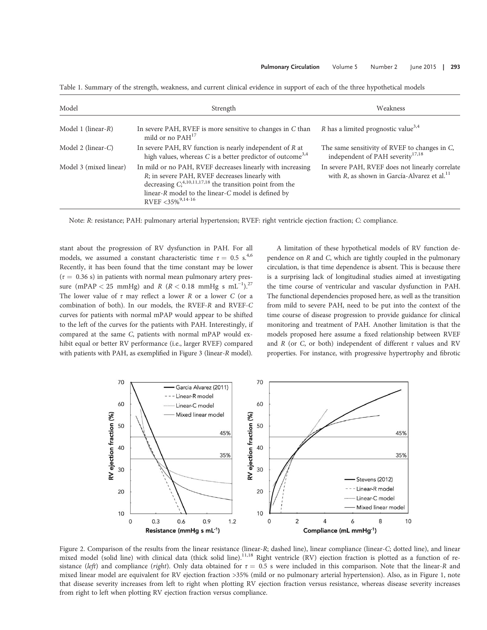| Model                  | Strength                                                                                                                                                                                                                                                             | Weakness                                                                                                   |
|------------------------|----------------------------------------------------------------------------------------------------------------------------------------------------------------------------------------------------------------------------------------------------------------------|------------------------------------------------------------------------------------------------------------|
| Model 1 (linear- $R$ ) | In severe PAH, RVEF is more sensitive to changes in C than<br>mild or no $PAH^{17}$                                                                                                                                                                                  | R has a limited prognostic value <sup>3,4</sup>                                                            |
| Model $2$ (linear-C)   | In severe PAH, RV function is nearly independent of $R$ at<br>high values, whereas C is a better predictor of outcome <sup>3,4</sup>                                                                                                                                 | The same sensitivity of RVEF to changes in C,<br>independent of PAH severity <sup>17,18</sup>              |
| Model 3 (mixed linear) | In mild or no PAH, RVEF decreases linearly with increasing<br>R; in severe PAH, RVEF decreases linearly with<br>decreasing $C_5^{4,10,11,17,18}$ the transition point from the<br>linear-R model to the linear-C model is defined by<br>RVEF <35% <sup>9,14-16</sup> | In severe PAH, RVEF does not linearly correlate<br>with R, as shown in García-Alvarez et al. <sup>11</sup> |

Table 1. Summary of the strength, weakness, and current clinical evidence in support of each of the three hypothetical models

Note: R: resistance; PAH: pulmonary arterial hypertension; RVEF: right ventricle ejection fraction; C: compliance.

stant about the progression of RV dysfunction in PAH. For all models, we assumed a constant characteristic time  $\tau = 0.5 \text{ s.}^{4,6}$ Recently, it has been found that the time constant may be lower  $(\tau = 0.36 \text{ s})$  in patients with normal mean pulmonary artery pressure (mPAP < 25 mmHg) and R ( $R$  < 0.18 mmHg s mL<sup>-1</sup>).<sup>27</sup> The lower value of  $\tau$  may reflect a lower R or a lower C (or a combination of both). In our models, the RVEF-R and RVEF-C curves for patients with normal mPAP would appear to be shifted to the left of the curves for the patients with PAH. Interestingly, if compared at the same C, patients with normal mPAP would exhibit equal or better RV performance (i.e., larger RVEF) compared with patients with PAH, as exemplified in Figure 3 (linear-R model).

A limitation of these hypothetical models of RV function dependence on R and C, which are tightly coupled in the pulmonary circulation, is that time dependence is absent. This is because there is a surprising lack of longitudinal studies aimed at investigating the time course of ventricular and vascular dysfunction in PAH. The functional dependencies proposed here, as well as the transition from mild to severe PAH, need to be put into the context of the time course of disease progression to provide guidance for clinical monitoring and treatment of PAH. Another limitation is that the models proposed here assume a fixed relationship between RVEF and R (or C, or both) independent of different  $\tau$  values and RV properties. For instance, with progressive hypertrophy and fibrotic



Figure 2. Comparison of the results from the linear resistance (linear-R; dashed line), linear compliance (linear-C; dotted line), and linear mixed model (solid line) with clinical data (thick solid line).<sup>11,18</sup> Right ventricle (RV) ejection fraction is plotted as a function of resistance (left) and compliance (right). Only data obtained for  $\tau = 0.5$  s were included in this comparison. Note that the linear-R and mixed linear model are equivalent for RV ejection fraction >35% (mild or no pulmonary arterial hypertension). Also, as in Figure 1, note that disease severity increases from left to right when plotting RV ejection fraction versus resistance, whereas disease severity increases from right to left when plotting RV ejection fraction versus compliance.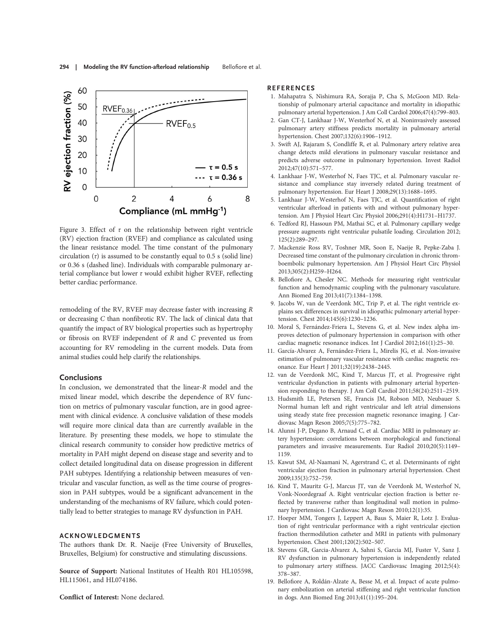

Figure 3. Effect of  $\tau$  on the relationship between right ventricle (RV) ejection fraction (RVEF) and compliance as calculated using the linear resistance model. The time constant of the pulmonary circulation  $(\tau)$  is assumed to be constantly equal to 0.5 s (solid line) or 0.36 s (dashed line). Individuals with comparable pulmonary arterial compliance but lower  $\tau$  would exhibit higher RVEF, reflecting better cardiac performance.

remodeling of the RV, RVEF may decrease faster with increasing R or decreasing C than nonfibrotic RV. The lack of clinical data that quantify the impact of RV biological properties such as hypertrophy or fibrosis on RVEF independent of R and C prevented us from accounting for RV remodeling in the current models. Data from animal studies could help clarify the relationships.

## **Conclusions**

In conclusion, we demonstrated that the linear-R model and the mixed linear model, which describe the dependence of RV function on metrics of pulmonary vascular function, are in good agreement with clinical evidence. A conclusive validation of these models will require more clinical data than are currently available in the literature. By presenting these models, we hope to stimulate the clinical research community to consider how predictive metrics of mortality in PAH might depend on disease stage and severity and to collect detailed longitudinal data on disease progression in different PAH subtypes. Identifying a relationship between measures of ventricular and vascular function, as well as the time course of progression in PAH subtypes, would be a significant advancement in the understanding of the mechanisms of RV failure, which could potentially lead to better strategies to manage RV dysfunction in PAH.

#### ACKNOWLEDGMENTS

The authors thank Dr. R. Naeije (Free University of Bruxelles, Bruxelles, Belgium) for constructive and stimulating discussions.

Source of Support: National Institutes of Health R01 HL105598, HL115061, and HL074186.

Conflict of Interest: None declared.

#### REFERENCES

- 1. Mahapatra S, Nishimura RA, Sorajja P, Cha S, McGoon MD. Relationship of pulmonary arterial capacitance and mortality in idiopathic pulmonary arterial hypertension. J Am Coll Cardiol 2006;47(4):799–803.
- 2. Gan CT-J, Lankhaar J-W, Westerhof N, et al. Noninvasively assessed pulmonary artery stiffness predicts mortality in pulmonary arterial hypertension. Chest 2007;132(6):1906–1912.
- 3. Swift AJ, Rajaram S, Condliffe R, et al. Pulmonary artery relative area change detects mild elevations in pulmonary vascular resistance and predicts adverse outcome in pulmonary hypertension. Invest Radiol 2012;47(10):571–577.
- 4. Lankhaar J-W, Westerhof N, Faes TJC, et al. Pulmonary vascular resistance and compliance stay inversely related during treatment of pulmonary hypertension. Eur Heart J 2008;29(13):1688–1695.
- 5. Lankhaar J-W, Westerhof N, Faes TJC, et al. Quantification of right ventricular afterload in patients with and without pulmonary hypertension. Am J Physiol Heart Circ Physiol 2006;291(4):H1731–H1737.
- 6. Tedford RJ, Hassoun PM, Mathai SC, et al. Pulmonary capillary wedge pressure augments right ventricular pulsatile loading. Circulation 2012; 125(2):289–297.
- 7. Mackenzie Ross RV, Toshner MR, Soon E, Naeije R, Pepke-Zaba J. Decreased time constant of the pulmonary circulation in chronic thromboembolic pulmonary hypertension. Am J Physiol Heart Circ Physiol 2013;305(2):H259–H264.
- 8. Bellofiore A, Chesler NC. Methods for measuring right ventricular function and hemodynamic coupling with the pulmonary vasculature. Ann Biomed Eng 2013;41(7):1384–1398.
- 9. Jacobs W, van de Veerdonk MC, Trip P, et al. The right ventricle explains sex differences in survival in idiopathic pulmonary arterial hypertension. Chest 2014;145(6):1230–1236.
- 10. Moral S, Fernández-Friera L, Stevens G, et al. New index alpha improves detection of pulmonary hypertension in comparison with other cardiac magnetic resonance indices. Int J Cardiol 2012;161(1):25–30.
- 11. García-Alvarez A, Fernández-Friera L, Mirelis JG, et al. Non-invasive estimation of pulmonary vascular resistance with cardiac magnetic resonance. Eur Heart J 2011;32(19):2438–2445.
- 12. van de Veerdonk MC, Kind T, Marcus JT, et al. Progressive right ventricular dysfunction in patients with pulmonary arterial hypertension responding to therapy. J Am Coll Cardiol 2011;58(24):2511–2519.
- 13. Hudsmith LE, Petersen SE, Francis JM, Robson MD, Neubauer S. Normal human left and right ventricular and left atrial dimensions using steady state free precession magnetic resonance imaging. J Cardiovasc Magn Reson 2005;7(5):775–782.
- 14. Alunni J-P, Degano B, Arnaud C, et al. Cardiac MRI in pulmonary artery hypertension: correlations between morphological and functional parameters and invasive measurements. Eur Radiol 2010;20(5):1149– 1159.
- 15. Kawut SM, Al-Naamani N, Agerstrand C, et al. Determinants of right ventricular ejection fraction in pulmonary arterial hypertension. Chest 2009;135(3):752–759.
- 16. Kind T, Mauritz G-J, Marcus JT, van de Veerdonk M, Westerhof N, Vonk-Noordegraaf A. Right ventricular ejection fraction is better reflected by transverse rather than longitudinal wall motion in pulmonary hypertension. J Cardiovasc Magn Reson 2010;12(1):35.
- 17. Hoeper MM, Tongers J, Leppert A, Baus S, Maier R, Lotz J. Evaluation of right ventricular performance with a right ventricular ejection fraction thermodilution catheter and MRI in patients with pulmonary hypertension. Chest 2001;120(2):502–507.
- 18. Stevens GR, Garcia-Alvarez A, Sahni S, Garcia MJ, Fuster V, Sanz J. RV dysfunction in pulmonary hypertension is independently related to pulmonary artery stiffness. JACC Cardiovasc Imaging 2012;5(4): 378–387.
- 19. Bellofiore A, Roldán-Alzate A, Besse M, et al. Impact of acute pulmonary embolization on arterial stiffening and right ventricular function in dogs. Ann Biomed Eng 2013;41(1):195–204.